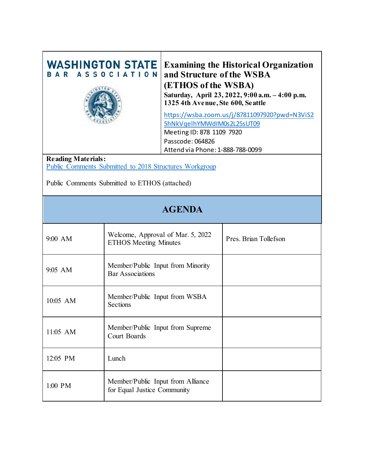| <b>WASHINGTON STATE</b><br><b>ASSOCIATION</b>                                       |                                                                   | <b>Examining the Historical Organization</b><br>and Structure of the WSBA<br>(ETHOS of the WSBA)<br>Saturday, April 23, 2022, 9:00 a.m. - 4:00 p.m.<br>1325 4th Avenue, Ste 600, Seattle<br>https://wsba.zoom.us/j/87811097920?pwd=N3ViS2<br>5hNkVqelhYMWdIM0s2L25sUT09<br>Meeting ID: 878 1109 7920<br>Passcode: 064826<br>Attend via Phone: 1-888-788-0099 |                       |  |
|-------------------------------------------------------------------------------------|-------------------------------------------------------------------|--------------------------------------------------------------------------------------------------------------------------------------------------------------------------------------------------------------------------------------------------------------------------------------------------------------------------------------------------------------|-----------------------|--|
| <b>Reading Materials:</b><br>Public Comments Submitted to 2018 Structures Workgroup |                                                                   |                                                                                                                                                                                                                                                                                                                                                              |                       |  |
| Public Comments Submitted to ETHOS (attached)                                       |                                                                   |                                                                                                                                                                                                                                                                                                                                                              |                       |  |
| <b>AGENDA</b>                                                                       |                                                                   |                                                                                                                                                                                                                                                                                                                                                              |                       |  |
| 9:00 AM                                                                             | Welcome, Approval of Mar. 5, 2022<br><b>ETHOS Meeting Minutes</b> |                                                                                                                                                                                                                                                                                                                                                              | Pres. Brian Tollefson |  |
| 9:05 AM                                                                             | Member/Public Input from Minority<br><b>Bar Associations</b>      |                                                                                                                                                                                                                                                                                                                                                              |                       |  |
| 10:05 AM                                                                            | Member/Public Input from WSBA<br>Sections                         |                                                                                                                                                                                                                                                                                                                                                              |                       |  |
| 11:05 AM                                                                            | Member/Public Input from Supreme<br>Court Boards                  |                                                                                                                                                                                                                                                                                                                                                              |                       |  |
| 12:05 PM                                                                            | Lunch                                                             |                                                                                                                                                                                                                                                                                                                                                              |                       |  |
| 1:00 PM                                                                             | Member/Public Input from Alliance<br>for Equal Justice Community  |                                                                                                                                                                                                                                                                                                                                                              |                       |  |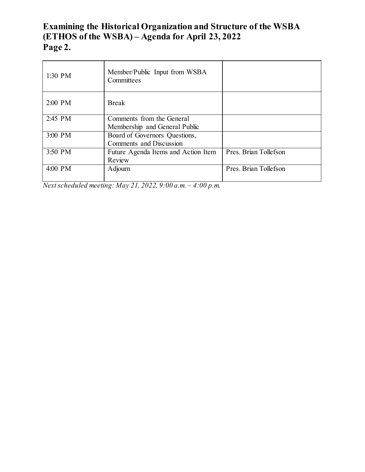# **Examining the Historical Organization and Structure of the WSBA (ETHOS of the WSBA) – Agenda for April 23, 2022 Page 2.**

| 1:30 PM | Member/Public Input from WSBA<br>Committees |                       |
|---------|---------------------------------------------|-----------------------|
| 2:00 PM | <b>Break</b>                                |                       |
| 2:45 PM | Comments from the General                   |                       |
|         | Membership and General Public               |                       |
| 3:00 PM | Board of Governors Questions,               |                       |
|         | Comments and Discussion                     |                       |
| 3:50 PM | Future Agenda Items and Action Item         | Pres. Brian Tollefson |
|         | Review                                      |                       |
| 4:00 PM | Adjourn                                     | Pres. Brian Tollefson |
|         |                                             |                       |

*Next scheduled meeting: May 21, 2022, 9:00 a.m. – 4:00 p.m.*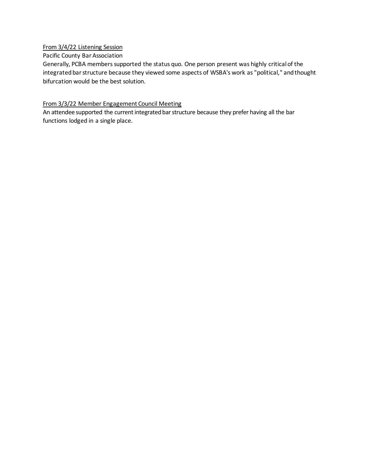#### From 3/4/22 Listening Session

#### Pacific County Bar Association

Generally, PCBA members supported the status quo. One person present was highly critical of the integrated bar structure because they viewed some aspects of WSBA's work as "political," and thought bifurcation would be the best solution.

#### From 3/3/22 Member Engagement Council Meeting

An attendee supported the current integrated bar structure because they prefer having all the bar functions lodged in a single place.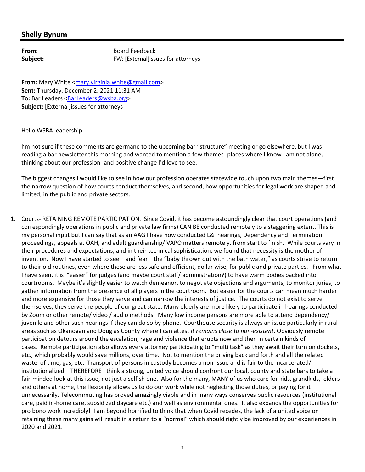| From:    |
|----------|
| Subject: |

**From:** Board Feedback **Subject:** FW: [External]issues for attorneys

**From:** Mary White <mary.virginia.white@gmail.com> **Sent:** Thursday, December 2, 2021 11:31 AM To: Bar Leaders <**BarLeaders@wsba.org> Subject:** [External]issues for attorneys

Hello WSBA leadership.

I'm not sure if these comments are germane to the upcoming bar "structure" meeting or go elsewhere, but I was reading a bar newsletter this morning and wanted to mention a few themes- places where I know I am not alone, thinking about our profession‐ and positive change I'd love to see.

The biggest changes I would like to see in how our profession operates statewide touch upon two main themes—first the narrow question of how courts conduct themselves, and second, how opportunities for legal work are shaped and limited, in the public and private sectors.

1. Courts‐ RETAINING REMOTE PARTICIPATION. Since Covid, it has become astoundingly clear that court operations (and correspondingly operations in public and private law firms) CAN BE conducted remotely to a staggering extent. This is my personal input but I can say that as an AAG I have now conducted L&I hearings, Dependency and Termination proceedings, appeals at OAH, and adult guardianship/ VAPO matters remotely, from start to finish. While courts vary in their procedures and expectations, and in their technical sophistication, we found that necessity is the mother of invention. Now I have started to see – and fear—the "baby thrown out with the bath water," as courts strive to return to their old routines, even where these are less safe and efficient, dollar wise, for public and private parties. From what I have seen, it is "easier" for judges (and maybe court staff/ administration?) to have warm bodies packed into courtrooms. Maybe it's slightly easier to watch demeanor, to negotiate objections and arguments, to monitor juries, to gather information from the presence of all players in the courtroom. But easier for the courts can mean much harder and more expensive for those they serve and can narrow the interests of justice. The courts do not exist to serve themselves, they serve the people of our great state. Many elderly are more likely to participate in hearings conducted by Zoom or other remote/ video / audio methods. Many low income persons are more able to attend dependency/ juvenile and other such hearings if they can do so by phone. Courthouse security is always an issue particularly in rural areas such as Okanogan and Douglas County where I can attest *it remains close to non‐existent*. Obviously remote participation detours around the escalation, rage and violence that erupts now and then in certain kinds of cases. Remote participation also allows every attorney participating to "multi task" as they await their turn on dockets, etc., which probably would save millions, over time. Not to mention the driving back and forth and all the related waste of time, gas, etc. Transport of persons in custody becomes a non-issue and is fair to the incarcerated/ institutionalized. THEREFORE I think a strong, united voice should confront our local, county and state bars to take a fair-minded look at this issue, not just a selfish one. Also for the many, MANY of us who care for kids, grandkids, elders and others at home, the flexibility allows us to do our work while not neglecting those duties, or paying for it unnecessarily. Telecommuting has proved amazingly viable and in many ways conserves public resources (institutional care, paid in‐home care, subsidized daycare etc.) and well as environmental ones. It also expands the opportunities for pro bono work incredibly! I am beyond horrified to think that when Covid recedes, the lack of a united voice on retaining these many gains will result in a return to a "normal" which should rightly be improved by our experiences in 2020 and 2021.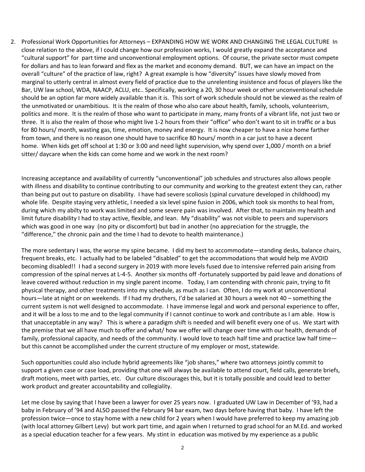2. Professional Work Opportunities for Attorneys – EXPANDING HOW WE WORK AND CHANGING THE LEGAL CULTURE In close relation to the above, if I could change how our profession works, I would greatly expand the acceptance and "cultural support" for part time and unconventional employment options. Of course, the private sector must compete for dollars and has to lean forward and flex as the market and economy demand. BUT, we can have an impact on the overall "culture" of the practice of law, right? A great example is how "diversity" issues have slowly moved from marginal to utterly central in almost every field of practice due to the unrelenting insistence and focus of players like the Bar, UW law school, WDA, NAACP, ACLU, etc.. Specifically, working a 20, 30 hour week or other unconventional schedule should be an option far more widely available than it is. This sort of work schedule should not be viewed as the realm of the unmotivated or unambitious. It is the realm of those who also care about health, family, schools, volunteerism, politics and more. It is the realm of those who want to participate in many, many fronts of a vibrant life, not just two or three. It is also the realm of those who might live 1‐2 hours from their "office" who don't want to sit in traffic or a bus for 80 hours/ month, wasting gas, time, emotion, money and energy. It is now cheaper to have a nice home farther from town, and there is no reason one should have to sacrifice 80 hours/ month in a car just to have a decent home. When kids get off school at 1:30 or 3:00 and need light supervision, why spend over 1,000 / month on a brief sitter/ daycare when the kids can come home and we work in the next room?

Increasing acceptance and availability of currently "unconventional" job schedules and structures also allows people with illness and disability to continue contributing to our community and working to the greatest extent they can, rather than being put out to pasture on disability. I have had severe scoliosis (spinal curvature developed in childhood) my whole life. Despite staying very athletic, I needed a six level spine fusion in 2006, which took six months to heal from, during which my abilty to work was limited and some severe pain was involved. After that, to maintain my health and limit future disability I had to stay active, flexible, and lean. My "disability" was not visible to peers and supervisors which was good in one way (no pity or discomfort) but bad in another (no appreciation for the struggle, the "difference," the chronic pain and the time I had to devote to health maintenance.)

The more sedentary I was, the worse my spine became. I did my best to accommodate—standing desks, balance chairs, frequent breaks, etc. I actually had to be labeled "disabled" to get the accommodations that would help me AVOID becoming disabled!! I had a second surgery in 2019 with more levels fused due to intensive referred pain arising from compression of the spinal nerves at L‐4‐5. Another six months off ‐fortunately supported by paid leave and donations of leave covered without reduction in my single parent income. Today, I am contending with chronic pain, trying to fit physical therapy, and other treatments into my schedule, as much as I can. Often, I do my work at unconventional hours—late at night or on weekends. If I had my druthers, I'd be salaried at 30 hours a week not 40 – something the current system is not well designed to accommodate. I have immense legal and work and personal experience to offer, and it will be a loss to me and to the legal community if I cannot continue to work and contribute as I am able. How is that unacceptable in any way? This is where a paradigm shift is needed and will benefit every one of us. We start with the premise that we all have much to offer and what/ how we offer will change over time with our health, demands of family, professional capacity, and needs of the community. I would love to teach half time and practice law half time but this cannot be accomplished under the current structure of my employer or most, statewide.

Such opportunities could also include hybrid agreements like "job shares," where two attorneys jointly commit to support a given case or case load, providing that one will always be available to attend court, field calls, generate briefs, draft motions, meet with parties, etc. Our culture discourages this, but it is totally possible and could lead to better work product and greater accountability and collegiality.

Let me close by saying that I have been a lawyer for over 25 years now. I graduated UW Law in December of '93, had a baby in February of '94 and ALSO passed the February 94 bar exam, two days before having that baby. I have left the profession twice—once to stay home with a new child for 2 years when I would have preferred to keep my amazing job (with local attorney Gilbert Levy) but work part time, and again when I returned to grad school for an M.Ed. and worked as a special education teacher for a few years. My stint in education was motived by my experience as a public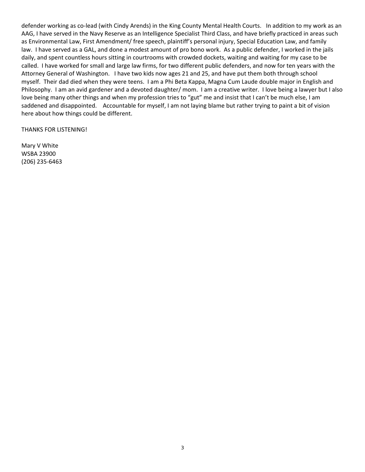defender working as co-lead (with Cindy Arends) in the King County Mental Health Courts. In addition to my work as an AAG, I have served in the Navy Reserve as an Intelligence Specialist Third Class, and have briefly practiced in areas such as Environmental Law, First Amendment/ free speech, plaintiff's personal injury, Special Education Law, and family law. I have served as a GAL, and done a modest amount of pro bono work. As a public defender, I worked in the jails daily, and spent countless hours sitting in courtrooms with crowded dockets, waiting and waiting for my case to be called. I have worked for small and large law firms, for two different public defenders, and now for ten years with the Attorney General of Washington. I have two kids now ages 21 and 25, and have put them both through school myself. Their dad died when they were teens. I am a Phi Beta Kappa, Magna Cum Laude double major in English and Philosophy. I am an avid gardener and a devoted daughter/ mom. I am a creative writer. I love being a lawyer but I also love being many other things and when my profession tries to "gut" me and insist that I can't be much else, I am saddened and disappointed. Accountable for myself, I am not laying blame but rather trying to paint a bit of vision here about how things could be different.

THANKS FOR LISTENING!

Mary V White WSBA 23900 (206) 235‐6463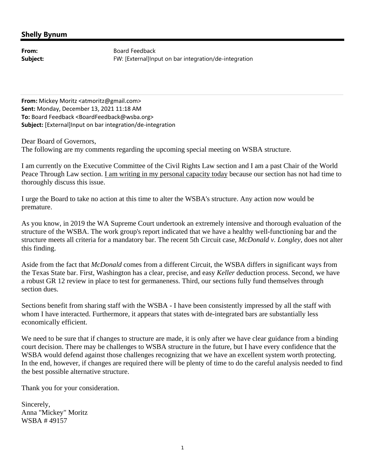**From:** Board Feedback **Subject:** FW: [External]Input on bar integration/de-integration

**From:** Mickey Moritz <atmoritz@gmail.com> **Sent:** Monday, December 13, 2021 11:18 AM **To:** Board Feedback <BoardFeedback@wsba.org> **Subject:** [External]Input on bar integration/de‐integration

Dear Board of Governors,

The following are my comments regarding the upcoming special meeting on WSBA structure.

I am currently on the Executive Committee of the Civil Rights Law section and I am a past Chair of the World Peace Through Law section. I am writing in my personal capacity today because our section has not had time to thoroughly discuss this issue.

I urge the Board to take no action at this time to alter the WSBA's structure. Any action now would be premature.

As you know, in 2019 the WA Supreme Court undertook an extremely intensive and thorough evaluation of the structure of the WSBA. The work group's report indicated that we have a healthy well-functioning bar and the structure meets all criteria for a mandatory bar. The recent 5th Circuit case, *McDonald v. Longley*, does not alter this finding.

Aside from the fact that *McDonald* comes from a different Circuit, the WSBA differs in significant ways from the Texas State bar. First, Washington has a clear, precise, and easy *Keller* deduction process. Second, we have a robust GR 12 review in place to test for germaneness. Third, our sections fully fund themselves through section dues.

Sections benefit from sharing staff with the WSBA - I have been consistently impressed by all the staff with whom I have interacted. Furthermore, it appears that states with de-integrated bars are substantially less economically efficient.

We need to be sure that if changes to structure are made, it is only after we have clear guidance from a binding court decision. There may be challenges to WSBA structure in the future, but I have every confidence that the WSBA would defend against those challenges recognizing that we have an excellent system worth protecting. In the end, however, if changes are required there will be plenty of time to do the careful analysis needed to find the best possible alternative structure.

Thank you for your consideration.

Sincerely, Anna "Mickey" Moritz WSBA # 49157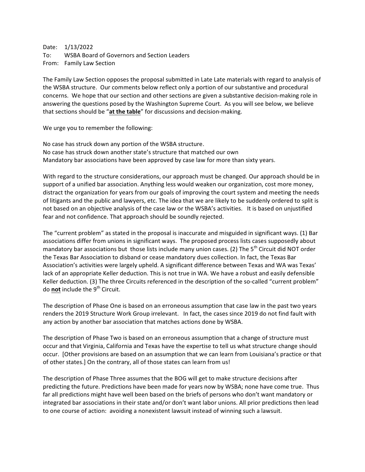Date: 1/13/2022 To: WSBA Board of Governors and Section Leaders From: Family Law Section

The Family Law Section opposes the proposal submitted in Late Late materials with regard to analysis of the WSBA structure. Our comments below reflect only a portion of our substantive and procedural concerns. We hope that our section and other sections are given a substantive decision-making role in answering the questions posed by the Washington Supreme Court. As you will see below, we believe that sections should be "**at the table**" for discussions and decision-making.

We urge you to remember the following:

No case has struck down any portion of the WSBA structure. No case has struck down another state's structure that matched our own Mandatory bar associations have been approved by case law for more than sixty years.

With regard to the structure considerations, our approach must be changed. Our approach should be in support of a unified bar association. Anything less would weaken our organization, cost more money, distract the organization for years from our goals of improving the court system and meeting the needs of litigants and the public and lawyers, etc. The idea that we are likely to be suddenly ordered to split is not based on an objective analysis of the case law or the WSBA's activities. It is based on unjustified fear and not confidence. That approach should be soundly rejected.

The "current problem" as stated in the proposal is inaccurate and misguided in significant ways. (1) Bar associations differ from unions in significant ways. The proposed process lists cases supposedly about mandatory bar associations but those lists include many union cases. (2) The  $5<sup>th</sup>$  Circuit did NOT order the Texas Bar Association to disband or cease mandatory dues collection. In fact, the Texas Bar Association's activities were largely upheld. A significant difference between Texas and WA was Texas' lack of an appropriate Keller deduction. This is not true in WA. We have a robust and easily defensible Keller deduction. (3) The three Circuits referenced in the description of the so-called "current problem" do **not** include the 9<sup>th</sup> Circuit.

The description of Phase One is based on an erroneous assumption that case law in the past two years renders the 2019 Structure Work Group irrelevant. In fact, the cases since 2019 do not find fault with any action by another bar association that matches actions done by WSBA.

The description of Phase Two is based on an erroneous assumption that a change of structure must occur and that Virginia, California and Texas have the expertise to tell us what structure change should occur. [Other provisions are based on an assumption that we can learn from Louisiana's practice or that of other states.] On the contrary, all of those states can learn from us!

The description of Phase Three assumes that the BOG will get to make structure decisions after predicting the future. Predictions have been made for years now by WSBA; none have come true. Thus far all predictions might have well been based on the briefs of persons who don't want mandatory or integrated bar associations in their state and/or don't want labor unions. All prior predictions then lead to one course of action: avoiding a nonexistent lawsuit instead of winning such a lawsuit.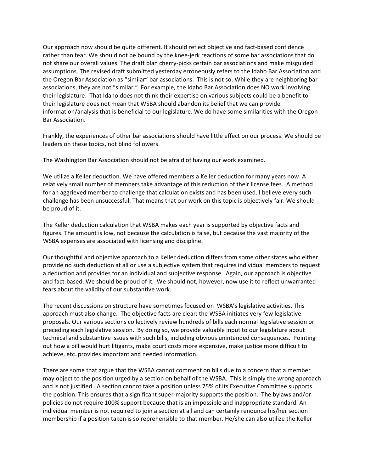Our approach now should be quite different. It should reflect objective and fact-based confidence rather than fear. We should not be bound by the knee-jerk reactions of some bar associations that do not share our overall values. The draft plan cherry-picks certain bar associations and make misguided assumptions. The revised draft submitted yesterday erroneously refers to the Idaho Bar Association and the Oregon Bar Association as "similar" bar associations. This is not so. While they are neighboring bar associations, they are not "similar." For example, the Idaho Bar Association does NO work involving their legislature. That Idaho does not think their expertise on various subjects could be a benefit to their legislature does not mean that WSBA should abandon its belief that we can provide information/analysis that is beneficial to our legislature. We do have some similarities with the Oregon Bar Association.

Frankly, the experiences of other bar associations should have little effect on our process. We should be leaders on these topics, not blind followers.

The Washington Bar Association should not be afraid of having our work examined.

We utilize a Keller deduction. We have offered members a Keller deduction for many years now. A relatively small number of members take advantage of this reduction of their license fees. A method for an aggrieved member to challenge that calculation exists and has been used. I believe every such challenge has been unsuccessful. That means that our work on this topic is objectively fair. We should be proud of it.

The Keller deduction calculation that WSBA makes each year is supported by objective facts and figures. The amount is low, not because the calculation is false, but because the vast majority of the WSBA expenses are associated with licensing and discipline.

Our thoughtful and objective approach to a Keller deduction differs from some other states who either provide no such deduction at all or use a subjective system that requires individual members to request a deduction and provides for an individual and subjective response. Again, our approach is objective and fact-based. We should be proud of it. We should not, however, now use it to reflect unwarranted fears about the validity of our substantive work.

The recent discussions on structure have sometimes focused on WSBA's legislative activities. This approach must also change. The objective facts are clear; the WSBA initiates very few legislative proposals. Our various sections collectively review hundreds of bills each normal legislative session or preceding each legislative session. By doing so, we provide valuable input to our legislature about technical and substantive issues with such bills, including obvious unintended consequences. Pointing out how a bill would hurt litigants, make court costs more expensive, make justice more difficult to achieve, etc. provides important and needed information.

There are some that argue that the WSBA cannot comment on bills due to a concern that a member may object to the position urged by a section on behalf of the WSBA. This is simply the wrong approach and is not justified. A section cannot take a position unless 75% of its Executive Committee supports the position. This ensures that a significant super-majority supports the position. The bylaws and/or policies do not require 100% support because that is an impossible and inappropriate standard. An individual member is not required to join a section at all and can certainly renounce his/her section membership if a position taken is so reprehensible to that member. He/she can also utilize the Keller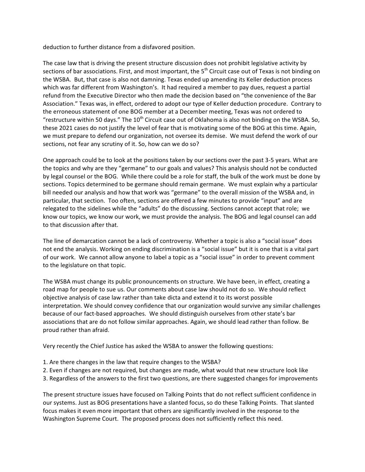deduction to further distance from a disfavored position.

The case law that is driving the present structure discussion does not prohibit legislative activity by sections of bar associations. First, and most important, the 5<sup>th</sup> Circuit case out of Texas is not binding on the WSBA. But, that case is also not damning. Texas ended up amending its Keller deduction process which was far different from Washington's. It had required a member to pay dues, request a partial refund from the Executive Director who then made the decision based on "the convenience of the Bar Association." Texas was, in effect, ordered to adopt our type of Keller deduction procedure. Contrary to the erroneous statement of one BOG member at a December meeting, Texas was not ordered to "restructure within 50 days." The  $10^{th}$  Circuit case out of Oklahoma is also not binding on the WSBA. So, these 2021 cases do not justify the level of fear that is motivating some of the BOG at this time. Again, we must prepare to defend our organization, not oversee its demise. We must defend the work of our sections, not fear any scrutiny of it. So, how can we do so?

One approach could be to look at the positions taken by our sections over the past 3-5 years. What are the topics and why are they "germane" to our goals and values? This analysis should not be conducted by legal counsel or the BOG. While there could be a role for staff, the bulk of the work must be done by sections. Topics determined to be germane should remain germane. We must explain why a particular bill needed our analysis and how that work was "germane" to the overall mission of the WSBA and, in particular, that section. Too often, sections are offered a few minutes to provide "input" and are relegated to the sidelines while the "adults" do the discussing. Sections cannot accept that role; we know our topics, we know our work, we must provide the analysis. The BOG and legal counsel can add to that discussion after that.

The line of demarcation cannot be a lack of controversy. Whether a topic is also a "social issue" does not end the analysis. Working on ending discrimination is a "social issue" but it is one that is a vital part of our work. We cannot allow anyone to label a topic as a "social issue" in order to prevent comment to the legislature on that topic.

The WSBA must change its public pronouncements on structure. We have been, in effect, creating a road map for people to sue us. Our comments about case law should not do so. We should reflect objective analysis of case law rather than take dicta and extend it to its worst possible interpretation. We should convey confidence that our organization would survive any similar challenges because of our fact-based approaches. We should distinguish ourselves from other state's bar associations that are do not follow similar approaches. Again, we should lead rather than follow. Be proud rather than afraid.

Very recently the Chief Justice has asked the WSBA to answer the following questions:

- 1. Are there changes in the law that require changes to the WSBA?
- 2. Even if changes are not required, but changes are made, what would that new structure look like
- 3. Regardless of the answers to the first two questions, are there suggested changes for improvements

The present structure issues have focused on Talking Points that do not reflect sufficient confidence in our systems. Just as BOG presentations have a slanted focus, so do these Talking Points. That slanted focus makes it even more important that others are significantly involved in the response to the Washington Supreme Court. The proposed process does not sufficiently reflect this need.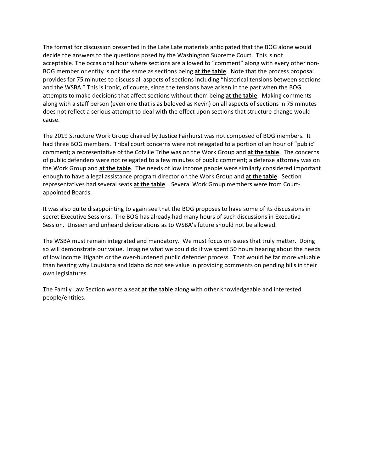The format for discussion presented in the Late Late materials anticipated that the BOG alone would decide the answers to the questions posed by the Washington Supreme Court. This is not acceptable. The occasional hour where sections are allowed to "comment" along with every other non-BOG member or entity is not the same as sections being **at the table**. Note that the process proposal provides for 75 minutes to discuss all aspects of sections including "historical tensions between sections and the WSBA." This is ironic, of course, since the tensions have arisen in the past when the BOG attempts to make decisions that affect sections without them being **at the table**. Making comments along with a staff person (even one that is as beloved as Kevin) on all aspects of sections in 75 minutes does not reflect a serious attempt to deal with the effect upon sections that structure change would cause.

The 2019 Structure Work Group chaired by Justice Fairhurst was not composed of BOG members. It had three BOG members. Tribal court concerns were not relegated to a portion of an hour of "public" comment; a representative of the Colville Tribe was on the Work Group and **at the table**. The concerns of public defenders were not relegated to a few minutes of public comment; a defense attorney was on the Work Group and **at the table**. The needs of low income people were similarly considered important enough to have a legal assistance program director on the Work Group and **at the table**. Section representatives had several seats **at the table**. Several Work Group members were from Courtappointed Boards.

It was also quite disappointing to again see that the BOG proposes to have some of its discussions in secret Executive Sessions. The BOG has already had many hours of such discussions in Executive Session. Unseen and unheard deliberations as to WSBA's future should not be allowed.

The WSBA must remain integrated and mandatory. We must focus on issues that truly matter. Doing so will demonstrate our value. Imagine what we could do if we spent 50 hours hearing about the needs of low income litigants or the over-burdened public defender process. That would be far more valuable than hearing why Louisiana and Idaho do not see value in providing comments on pending bills in their own legislatures.

The Family Law Section wants a seat **at the table** along with other knowledgeable and interested people/entities.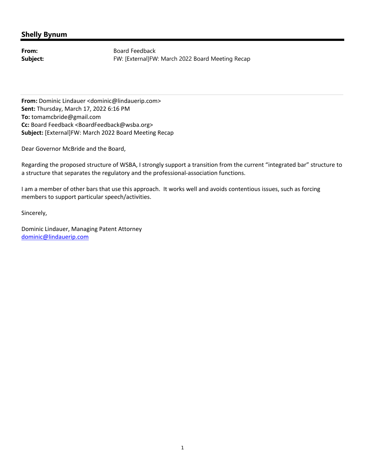From: Board Feedback **Subject:** FW: [External]FW: March 2022 Board Meeting Recap

**From:** Dominic Lindauer <dominic@lindauerip.com> **Sent:** Thursday, March 17, 2022 6:16 PM **To:** tomamcbride@gmail.com **Cc:** Board Feedback <BoardFeedback@wsba.org> **Subject:** [External]FW: March 2022 Board Meeting Recap

Dear Governor McBride and the Board,

Regarding the proposed structure of WSBA, I strongly support a transition from the current "integrated bar" structure to a structure that separates the regulatory and the professional‐association functions.

I am a member of other bars that use this approach. It works well and avoids contentious issues, such as forcing members to support particular speech/activities.

Sincerely,

Dominic Lindauer, Managing Patent Attorney dominic@lindauerip.com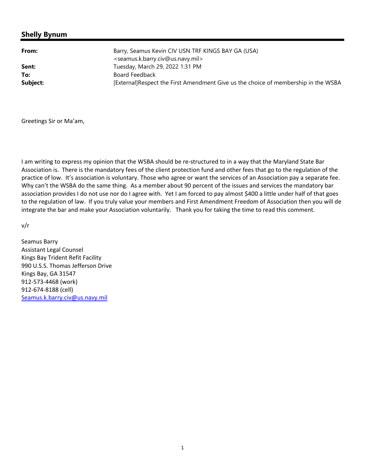**From:** Barry, Seamus Kevin CIV USN TRF KINGS BAY GA (USA) <seamus.k.barry.civ@us.navy.mil> **Sent:** Tuesday, March 29, 2022 1:31 PM Board Feedback [External]Respect the First Amendment Give us the choice of membership in the WSBA **To: Subject:**

Greetings Sir or Ma'am,

I am writing to express my opinion that the WSBA should be re‐structured to in a way that the Maryland State Bar Association is. There is the mandatory fees of the client protection fund and other fees that go to the regulation of the practice of low. It's association is voluntary. Those who agree or want the services of an Association pay a separate fee. Why can't the WSBA do the same thing. As a member about 90 percent of the issues and services the mandatory bar association provides I do not use nor do I agree with. Yet I am forced to pay almost \$400 a little under half of that goes to the regulation of law. If you truly value your members and First Amendment Freedom of Association then you will de integrate the bar and make your Association voluntarily. Thank you for taking the time to read this comment.

v/r

Seamus Barry Assistant Legal Counsel Kings Bay Trident Refit Facility 990 U.S.S. Thomas Jefferson Drive Kings Bay, GA 31547 912‐573‐4468 (work) 912‐674‐8188 (cell) Seamus.k.barry.civ@us.navy.mil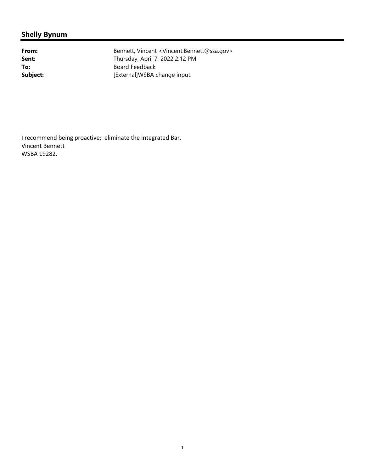**To: Subject:**

From: Bennett, Vincent <Vincent.Bennett@ssa.gov> **Sent:** Thursday, April 7, 2022 2:12 PM Board Feedback [External]WSBA change input.

I recommend being proactive; eliminate the integrated Bar. Vincent Bennett WSBA 19282.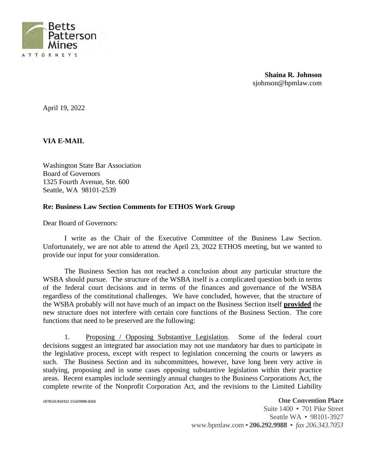

**Shaina R. Johnson** [sjohnson@bpmlaw.com](mailto:sjohnson@bpmlaw.com)

April 19, 2022

**VIA E-MAIL**

Washington State Bar Association Board of Governors 1325 Fourth Avenue, Ste. 600 Seattle, WA 98101-2539

#### **Re: Business Law Section Comments for ETHOS Work Group**

Dear Board of Governors:

I write as the Chair of the Executive Committee of the Business Law Section. Unfortunately, we are not able to attend the April 23, 2022 ETHOS meeting, but we wanted to provide our input for your consideration.

The Business Section has not reached a conclusion about any particular structure the WSBA should pursue. The structure of the WSBA itself is a complicated question both in terms of the federal court decisions and in terms of the finances and governance of the WSBA regardless of the constitutional challenges. We have concluded, however, that the structure of the WSBA probably will not have much of an impact on the Business Section itself **provided** the new structure does not interfere with certain core functions of the Business Section. The core functions that need to be preserved are the following:

1. Proposing / Opposing Substantive Legislation. Some of the federal court decisions suggest an integrated bar association may not use mandatory bar dues to participate in the legislative process, except with respect to legislation concerning the courts or lawyers as such. The Business Section and its subcommittees, however, have long been very active in studying, proposing and in some cases opposing substantive legislation within their practice areas. Recent examples include seemingly annual changes to the Business Corporations Act, the complete rewrite of the Nonprofit Corporation Act, and the revisions to the Limited Liability

**1878541/041922 1554/9998-0268 One Convention Place**

Suite 1400 • 701 Pike Street Seattle WA = 98101-3927 [www.bpmlaw.com](http://www.bpmlaw.com) ƒ **206.292.9988** ƒ *fax 206.343.7053*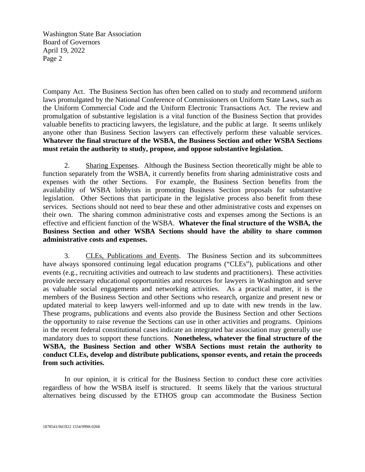Washington State Bar Association Board of Governors April 19, 2022 Page 2

Company Act. The Business Section has often been called on to study and recommend uniform laws promulgated by the National Conference of Commissioners on Uniform State Laws, such as the Uniform Commercial Code and the Uniform Electronic Transactions Act. The review and promulgation of substantive legislation is a vital function of the Business Section that provides valuable benefits to practicing lawyers, the legislature, and the public at large. It seems unlikely anyone other than Business Section lawyers can effectively perform these valuable services. **Whatever the final structure of the WSBA, the Business Section and other WSBA Sections must retain the authority to study, propose, and oppose substantive legislation.**

2. Sharing Expenses. Although the Business Section theoretically might be able to function separately from the WSBA, it currently benefits from sharing administrative costs and expenses with the other Sections. For example, the Business Section benefits from the availability of WSBA lobbyists in promoting Business Section proposals for substantive legislation. Other Sections that participate in the legislative process also benefit from these services. Sections should not need to bear these and other administrative costs and expenses on their own. The sharing common administrative costs and expenses among the Sections is an effective and efficient function of the WSBA. **Whatever the final structure of the WSBA, the Business Section and other WSBA Sections should have the ability to share common administrative costs and expenses.**

3. CLEs, Publications and Events. The Business Section and its subcommittees have always sponsored continuing legal education programs ("CLEs"), publications and other events (e.g., recruiting activities and outreach to law students and practitioners). These activities provide necessary educational opportunities and resources for lawyers in Washington and serve as valuable social engagements and networking activities. As a practical matter, it is the members of the Business Section and other Sections who research, organize and present new or updated material to keep lawyers well-informed and up to date with new trends in the law. These programs, publications and events also provide the Business Section and other Sections the opportunity to raise revenue the Sections can use in other activities and programs. Opinions in the recent federal constitutional cases indicate an integrated bar association may generally use mandatory dues to support these functions. **Nonetheless, whatever the final structure of the WSBA, the Business Section and other WSBA Sections must retain the authority to conduct CLEs, develop and distribute publications, sponsor events, and retain the proceeds from such activities.**

In our opinion, it is critical for the Business Section to conduct these core activities regardless of how the WSBA itself is structured. It seems likely that the various structural alternatives being discussed by the ETHOS group can accommodate the Business Section